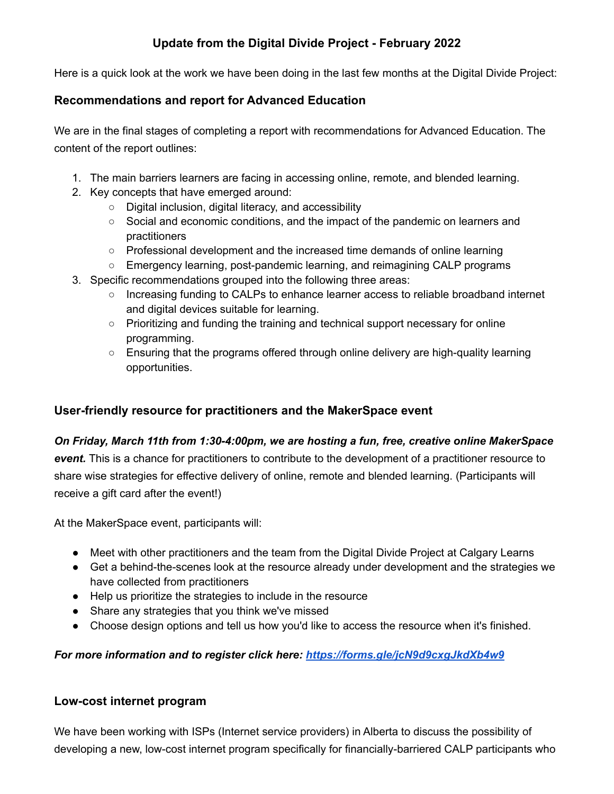# **Update from the Digital Divide Project - February 2022**

Here is a quick look at the work we have been doing in the last few months at the Digital Divide Project:

### **Recommendations and report for Advanced Education**

We are in the final stages of completing a report with recommendations for Advanced Education. The content of the report outlines:

- 1. The main barriers learners are facing in accessing online, remote, and blended learning.
- 2. Key concepts that have emerged around:
	- Digital inclusion, digital literacy, and accessibility
	- Social and economic conditions, and the impact of the pandemic on learners and practitioners
	- Professional development and the increased time demands of online learning
	- Emergency learning, post-pandemic learning, and reimagining CALP programs
- 3. Specific recommendations grouped into the following three areas:
	- Increasing funding to CALPs to enhance learner access to reliable broadband internet and digital devices suitable for learning.
	- Prioritizing and funding the training and technical support necessary for online programming.
	- Ensuring that the programs offered through online delivery are high-quality learning opportunities.

#### **User-friendly resource for practitioners and the MakerSpace event**

#### *On Friday, March 11th from 1:30-4:00pm, we are hosting a fun, free, creative online MakerSpace*

*event.* This is a chance for practitioners to contribute to the development of a practitioner resource to share wise strategies for effective delivery of online, remote and blended learning. (Participants will receive a gift card after the event!)

At the MakerSpace event, participants will:

- Meet with other practitioners and the team from the Digital Divide Project at Calgary Learns
- Get a behind-the-scenes look at the resource already under development and the strategies we have collected from practitioners
- Help us prioritize the strategies to include in the resource
- Share any strategies that you think we've missed
- Choose design options and tell us how you'd like to access the resource when it's finished.

#### *For more information and to register click here: <https://forms.gle/jcN9d9cxgJkdXb4w9>*

#### **Low-cost internet program**

We have been working with ISPs (Internet service providers) in Alberta to discuss the possibility of developing a new, low-cost internet program specifically for financially-barriered CALP participants who